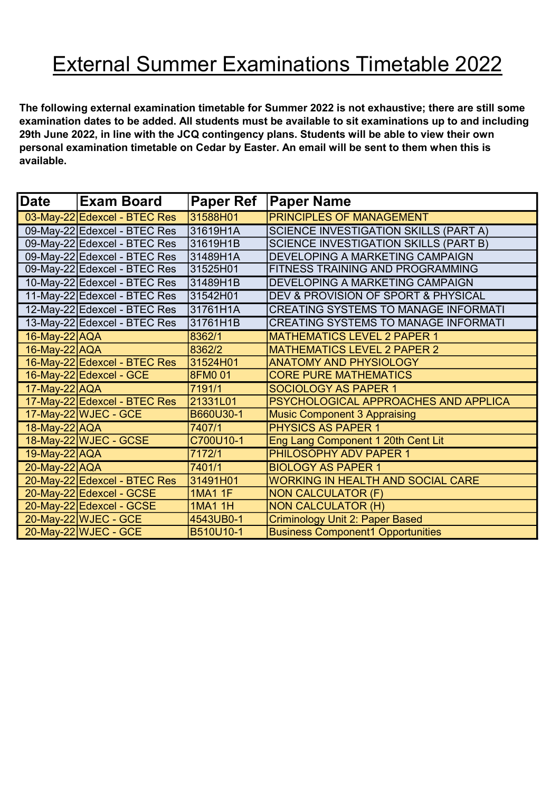## External Summer Examinations Timetable 2022

The following external examination timetable for Summer 2022 is not exhaustive; there are still some examination dates to be added. All students must be available to sit examinations up to and including 29th June 2022, in line with the JCQ contingency plans. Students will be able to view their own personal examination timetable on Cedar by Easter. An email will be sent to them when this is available.

| <b>Date</b>   | <b>Exam Board</b>            | <b>Paper Ref</b> | <b>Paper Name</b>                            |
|---------------|------------------------------|------------------|----------------------------------------------|
|               | 03-May-22 Edexcel - BTEC Res | 31588H01         | <b>PRINCIPLES OF MANAGEMENT</b>              |
|               | 09-May-22 Edexcel - BTEC Res | 31619H1A         | <b>SCIENCE INVESTIGATION SKILLS (PART A)</b> |
|               | 09-May-22 Edexcel - BTEC Res | 31619H1B         | <b>SCIENCE INVESTIGATION SKILLS (PART B)</b> |
|               | 09-May-22 Edexcel - BTEC Res | 31489H1A         | DEVELOPING A MARKETING CAMPAIGN              |
|               | 09-May-22 Edexcel - BTEC Res | 31525H01         | FITNESS TRAINING AND PROGRAMMING             |
|               | 10-May-22 Edexcel - BTEC Res | 31489H1B         | DEVELOPING A MARKETING CAMPAIGN              |
|               | 11-May-22 Edexcel - BTEC Res | 31542H01         | DEV & PROVISION OF SPORT & PHYSICAL          |
|               | 12-May-22 Edexcel - BTEC Res | 31761H1A         | <b>CREATING SYSTEMS TO MANAGE INFORMATI</b>  |
|               | 13-May-22 Edexcel - BTEC Res | 31761H1B         | <b>CREATING SYSTEMS TO MANAGE INFORMATI</b>  |
| 16-May-22 AQA |                              | 8362/1           | <b>MATHEMATICS LEVEL 2 PAPER 1</b>           |
| 16-May-22 AQA |                              | 8362/2           | <b>MATHEMATICS LEVEL 2 PAPER 2</b>           |
|               | 16-May-22 Edexcel - BTEC Res | 31524H01         | <b>ANATOMY AND PHYSIOLOGY</b>                |
|               | 16-May-22 Edexcel - GCE      | 8FM0 01          | <b>CORE PURE MATHEMATICS</b>                 |
| 17-May-22 AQA |                              | 7191/1           | <b>SOCIOLOGY AS PAPER 1</b>                  |
|               | 17-May-22 Edexcel - BTEC Res | 21331L01         | PSYCHOLOGICAL APPROACHES AND APPLICA         |
|               | 17-May-22 WJEC - GCE         | B660U30-1        | <b>Music Component 3 Appraising</b>          |
| 18-May-22 AQA |                              | 7407/1           | <b>PHYSICS AS PAPER 1</b>                    |
|               | 18-May-22 WJEC - GCSE        | C700U10-1        | Eng Lang Component 1 20th Cent Lit           |
| 19-May-22 AQA |                              | 7172/1           | PHILOSOPHY ADV PAPER 1                       |
| 20-May-22 AQA |                              | 7401/1           | <b>BIOLOGY AS PAPER 1</b>                    |
|               | 20-May-22 Edexcel - BTEC Res | 31491H01         | <b>WORKING IN HEALTH AND SOCIAL CARE</b>     |
|               | 20-May-22 Edexcel - GCSE     | <b>1MA1 1F</b>   | <b>NON CALCULATOR (F)</b>                    |
|               | 20-May-22 Edexcel - GCSE     | <b>1MA1 1H</b>   | <b>NON CALCULATOR (H)</b>                    |
|               | 20-May-22 WJEC - GCE         | 4543UB0-1        | <b>Criminology Unit 2: Paper Based</b>       |
|               | 20-May-22 WJEC - GCE         | B510U10-1        | <b>Business Component1 Opportunities</b>     |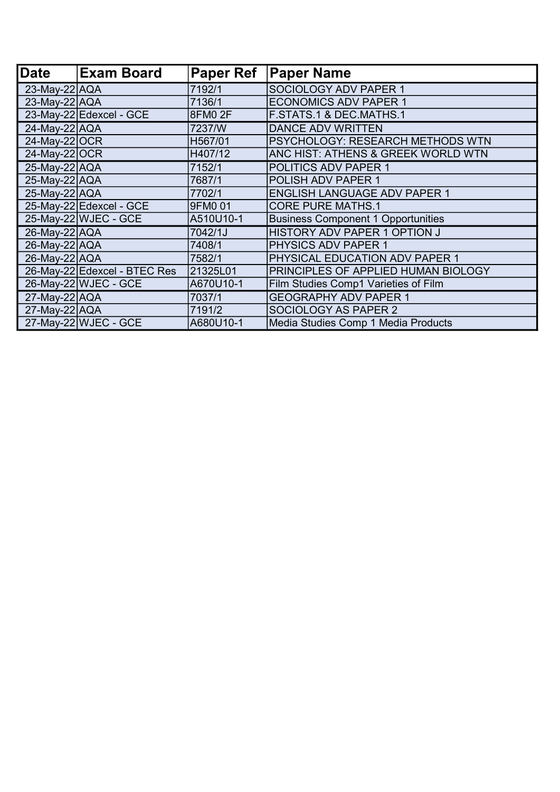| <b>Date</b>        | <b>Exam Board</b>            | <b>Paper Ref</b> | <b>Paper Name</b>                         |
|--------------------|------------------------------|------------------|-------------------------------------------|
| $23$ -May-22 $AQA$ |                              | 7192/1           | SOCIOLOGY ADV PAPER 1                     |
| $23$ -May-22 AQA   |                              | 7136/1           | <b>ECONOMICS ADV PAPER 1</b>              |
|                    | 23-May-22 Edexcel - GCE      | 8FM0 2F          | <b>F.STATS.1 &amp; DEC.MATHS.1</b>        |
| 24-May-22 AQA      |                              | 7237/W           | <b>DANCE ADV WRITTEN</b>                  |
| 24-May-22 OCR      |                              | H567/01          | PSYCHOLOGY: RESEARCH METHODS WTN          |
| 24-May-22 OCR      |                              | H407/12          | ANC HIST: ATHENS & GREEK WORLD WTN        |
| 25-May-22 AQA      |                              | 7152/1           | POLITICS ADV PAPER 1                      |
| 25-May-22 AQA      |                              | 7687/1           | <b>POLISH ADV PAPER 1</b>                 |
| $25$ -May-22 AQA   |                              | 7702/1           | <b>ENGLISH LANGUAGE ADV PAPER 1</b>       |
|                    | 25-May-22 Edexcel - GCE      | 9FM0 01          | <b>CORE PURE MATHS.1</b>                  |
|                    | 25-May-22 WJEC - GCE         | A510U10-1        | <b>Business Component 1 Opportunities</b> |
| 26-May-22 AQA      |                              | 7042/1J          | HISTORY ADV PAPER 1 OPTION J              |
| 26-May-22 AQA      |                              | 7408/1           | <b>PHYSICS ADV PAPER 1</b>                |
| $26$ -May-22 AQA   |                              | 7582/1           | PHYSICAL EDUCATION ADV PAPER 1            |
|                    | 26-May-22 Edexcel - BTEC Res | 21325L01         | PRINCIPLES OF APPLIED HUMAN BIOLOGY       |
|                    | 26-May-22 WJEC - GCE         | A670U10-1        | Film Studies Comp1 Varieties of Film      |
| $27$ -May-22 AQA   |                              | 7037/1           | <b>GEOGRAPHY ADV PAPER 1</b>              |
| 27-May-22 AQA      |                              | 7191/2           | <b>SOCIOLOGY AS PAPER 2</b>               |
|                    | $27$ -May-22 WJEC - GCE      | A680U10-1        | Media Studies Comp 1 Media Products       |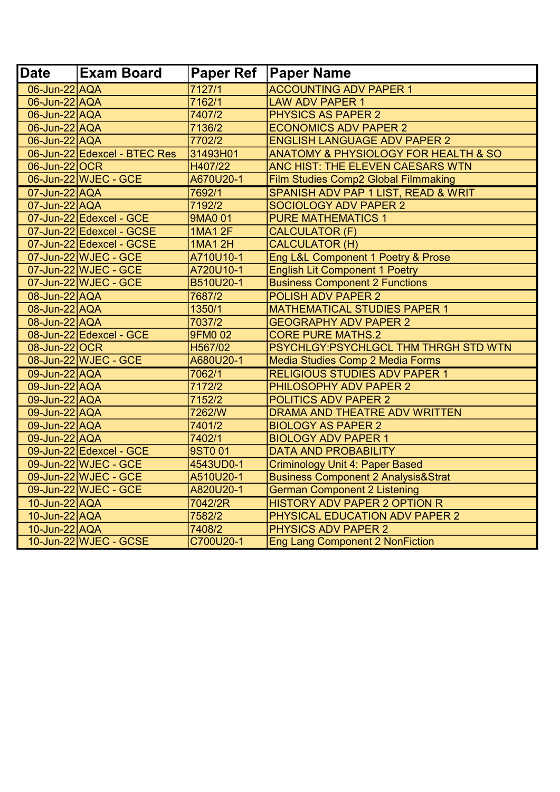| <b>IDate</b>  | <b>Exam Board</b>            |                | Paper Ref   Paper Name                         |
|---------------|------------------------------|----------------|------------------------------------------------|
| 06-Jun-22 AQA |                              | 7127/1         | <b>ACCOUNTING ADV PAPER 1</b>                  |
| 06-Jun-22 AQA |                              | 7162/1         | <b>LAW ADV PAPER 1</b>                         |
| 06-Jun-22 AQA |                              | 7407/2         | <b>PHYSICS AS PAPER 2</b>                      |
| 06-Jun-22 AQA |                              | 7136/2         | <b>ECONOMICS ADV PAPER 2</b>                   |
| 06-Jun-22 AQA |                              | 7702/2         | <b>ENGLISH LANGUAGE ADV PAPER 2</b>            |
|               | 06-Jun-22 Edexcel - BTEC Res | 31493H01       | ANATOMY & PHYSIOLOGY FOR HEALTH & SO           |
| 06-Jun-22 OCR |                              | H407/22        | ANC HIST: THE ELEVEN CAESARS WTN               |
|               | 06-Jun-22 WJEC - GCE         | A670U20-1      | Film Studies Comp2 Global Filmmaking           |
| 07-Jun-22 AQA |                              | 7692/1         | SPANISH ADV PAP 1 LIST, READ & WRIT            |
| 07-Jun-22 AQA |                              | 7192/2         | <b>SOCIOLOGY ADV PAPER 2</b>                   |
|               | 07-Jun-22 Edexcel - GCE      | 9MA0 01        | <b>PURE MATHEMATICS 1</b>                      |
|               | 07-Jun-22 Edexcel - GCSE     | <b>1MA1 2F</b> | <b>CALCULATOR (F)</b>                          |
|               | 07-Jun-22 Edexcel - GCSE     | <b>1MA1 2H</b> | <b>CALCULATOR (H)</b>                          |
|               | 07-Jun-22 WJEC - GCE         | A710U10-1      | Eng L&L Component 1 Poetry & Prose             |
|               | 07-Jun-22 WJEC - GCE         | A720U10-1      | <b>English Lit Component 1 Poetry</b>          |
|               | 07-Jun-22 WJEC - GCE         | B510U20-1      | <b>Business Component 2 Functions</b>          |
| 08-Jun-22 AQA |                              | 7687/2         | <b>POLISH ADV PAPER 2</b>                      |
| 08-Jun-22 AQA |                              | 1350/1         | <b>MATHEMATICAL STUDIES PAPER 1</b>            |
| 08-Jun-22 AQA |                              | 7037/2         | <b>GEOGRAPHY ADV PAPER 2</b>                   |
|               | 08-Jun-22 Edexcel - GCE      | <b>9FM002</b>  | <b>CORE PURE MATHS.2</b>                       |
| 08-Jun-22 OCR |                              | H567/02        | PSYCHLGY:PSYCHLGCL THM THRGH STD WTN           |
|               | 08-Jun-22 WJEC - GCE         | A680U20-1      | Media Studies Comp 2 Media Forms               |
| 09-Jun-22 AQA |                              | 7062/1         | <b>RELIGIOUS STUDIES ADV PAPER 1</b>           |
| 09-Jun-22 AQA |                              | 7172/2         | PHILOSOPHY ADV PAPER 2                         |
| 09-Jun-22 AQA |                              | 7152/2         | <b>POLITICS ADV PAPER 2</b>                    |
| 09-Jun-22 AQA |                              | 7262/W         | DRAMA AND THEATRE ADV WRITTEN                  |
| 09-Jun-22 AQA |                              | 7401/2         | <b>BIOLOGY AS PAPER 2</b>                      |
| 09-Jun-22 AQA |                              | 7402/1         | <b>BIOLOGY ADV PAPER 1</b>                     |
|               | 09-Jun-22 Edexcel - GCE      | 9ST001         | <b>DATA AND PROBABILITY</b>                    |
|               | 09-Jun-22 WJEC - GCE         | 4543UD0-1      | <b>Criminology Unit 4: Paper Based</b>         |
|               | 09-Jun-22 WJEC - GCE         | A510U20-1      | <b>Business Component 2 Analysis&amp;Strat</b> |
|               | 09-Jun-22 WJEC - GCE         | A820U20-1      | <b>German Component 2 Listening</b>            |
| 10-Jun-22 AQA |                              | 7042/2R        | <b>HISTORY ADV PAPER 2 OPTION R</b>            |
| 10-Jun-22 AQA |                              | 7582/2         | PHYSICAL EDUCATION ADV PAPER 2                 |
| 10-Jun-22 AQA |                              | 7408/2         | <b>PHYSICS ADV PAPER 2</b>                     |
|               | 10-Jun-22 WJEC - GCSE        | C700U20-1      | <b>Eng Lang Component 2 NonFiction</b>         |